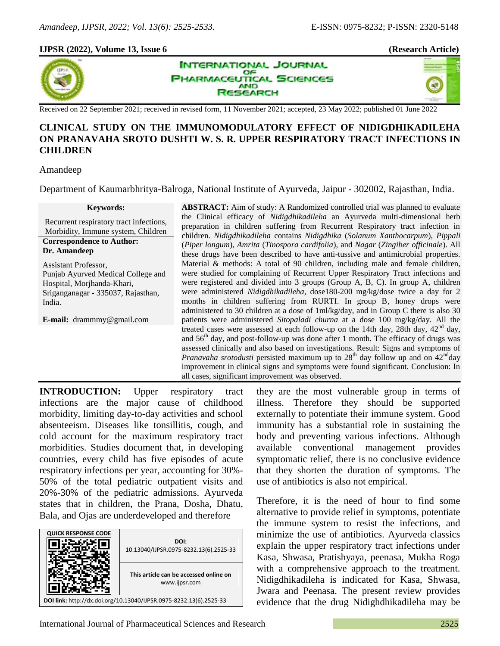a T

## **IJPSR (2022), Volume 13, Issue 6 (Research Article)**



**INTERNATIONAL JOURNAL** OF **PHARMACEUTICAL SCIENCES AND SEARCH** 

Received on 22 September 2021; received in revised form, 11 November 2021; accepted, 23 May 2022; published 01 June 2022

# **CLINICAL STUDY ON THE IMMUNOMODULATORY EFFECT OF NIDIGDHIKADILEHA ON PRANAVAHA SROTO DUSHTI W. S. R. UPPER RESPIRATORY TRACT INFECTIONS IN CHILDREN**

#### Amandeep

Department of Kaumarbhritya-Balroga, National Institute of Ayurveda, Jaipur - 302002, Rajasthan, India.

#### **Keywords:**

Recurrent respiratory tract infections, Morbidity, Immune system, Children

#### **Correspondence to Author: Dr. Amandeep**

Assistant Professor, Punjab Ayurved Medical College and Hospital, Morjhanda-Khari, Sriganganagar - 335037, Rajasthan, India.

**E-mail:** drammmy@gmail.com

**ABSTRACT:** Aim of study: A Randomized controlled trial was planned to evaluate the Clinical efficacy of *Nidigdhikadileha* an Ayurveda multi-dimensional herb preparation in children suffering from Recurrent Respiratory tract infection in children. *Nidigdhikadileha* contains *Nidigdhika* (*Solanum Xanthocarpum*), *Pippali* (*Piper longum*), *Amrita* (*Tinospora cardifolia*), and *Nagar* (*Zingiber officinale*). All these drugs have been described to have anti-tussive and antimicrobial properties. Material & methods: A total of 90 children, including male and female children, were studied for complaining of Recurrent Upper Respiratory Tract infections and were registered and divided into 3 groups (Group A, B, C). In group A, children were administered *Nidigdhikadileha,* dose180-200 mg/kg/dose twice a day for 2 months in children suffering from RURTI. In group B, honey drops were administered to 30 children at a dose of 1ml/kg/day, and in Group C there is also 30 patients were administered *Sitopaladi churna* at a dose 100 mg/kg/day. All the treated cases were assessed at each follow-up on the 14th day, 28th day,  $42<sup>nd</sup>$  day, and  $56<sup>th</sup>$  day, and post-follow-up was done after 1 month. The efficacy of drugs was assessed clinically and also based on investigations. Result: Signs and symptoms of *Pranavaha srotodusti* persisted maximum up to 28<sup>th</sup> day follow up and on 42<sup>nd</sup>day improvement in clinical signs and symptoms were found significant. Conclusion: In all cases, significant improvement was observed.

**INTRODUCTION:** Upper respiratory tract infections are the major cause of childhood morbidity, limiting day-to-day activities and school absenteeism. Diseases like tonsillitis, cough, and cold account for the maximum respiratory tract morbidities. Studies document that, in developing countries, every child has five episodes of acute respiratory infections per year, accounting for 30%- 50% of the total pediatric outpatient visits and 20%-30% of the pediatric admissions. Ayurveda states that in children, the Prana, Dosha, Dhatu, Bala, and Ojas are underdeveloped and therefore



they are the most vulnerable group in terms of illness. Therefore they should be supported externally to potentiate their immune system. Good immunity has a substantial role in sustaining the body and preventing various infections. Although available conventional management provides symptomatic relief, there is no conclusive evidence that they shorten the duration of symptoms. The use of antibiotics is also not empirical.

Therefore, it is the need of hour to find some alternative to provide relief in symptoms, potentiate the immune system to resist the infections, and minimize the use of antibiotics. Ayurveda classics explain the upper respiratory tract infections under Kasa, Shwasa, Pratishyaya, peenasa, Mukha Roga with a comprehensive approach to the treatment. Nidigdhikadileha is indicated for Kasa, Shwasa, Jwara and Peenasa. The present review provides evidence that the drug Nidighdhikadileha may be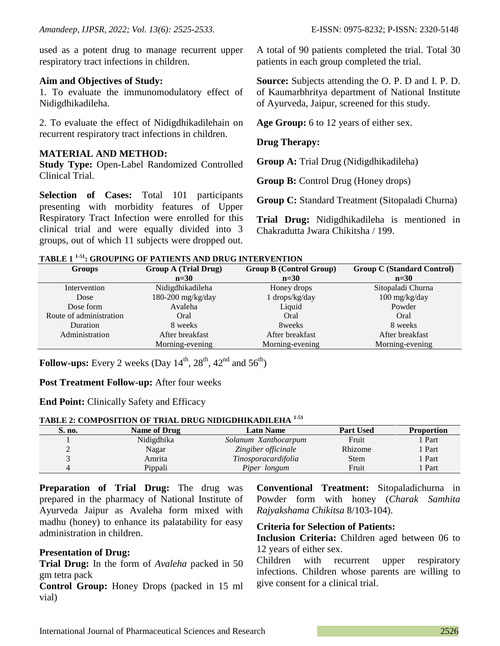used as a potent drug to manage recurrent upper respiratory tract infections in children.

### **Aim and Objectives of Study:**

1. To evaluate the immunomodulatory effect of Nidigdhikadileha.

2. To evaluate the effect of Nidigdhikadilehain on recurrent respiratory tract infections in children.

## **MATERIAL AND METHOD:**

**Study Type:** Open-Label Randomized Controlled Clinical Trial.

**Selection of Cases:** Total 101 participants presenting with morbidity features of Upper Respiratory Tract Infection were enrolled for this clinical trial and were equally divided into 3 groups, out of which 11 subjects were dropped out. A total of 90 patients completed the trial. Total 30 patients in each group completed the trial.

**Source:** Subjects attending the O. P. D and I. P. D. of Kaumarbhritya department of National Institute of Ayurveda, Jaipur, screened for this study.

**Age Group:** 6 to 12 years of either sex.

## **Drug Therapy:**

**Group A:** Trial Drug (Nidigdhikadileha)

**Group B:** Control Drug (Honey drops)

**Group C:** Standard Treatment (Sitopaladi Churna)

**Trial Drug:** Nidigdhikadileha is mentioned in Chakradutta Jwara Chikitsha / 199.

|  | TABLE 1 <sup>1-51</sup> : GROUPING OF PATIENTS AND DRUG INTERVENTION |  |
|--|----------------------------------------------------------------------|--|
|--|----------------------------------------------------------------------|--|

| <b>Groups</b>           | <b>Group A (Trial Drug)</b> | <b>Group B (Control Group)</b> | <b>Group C (Standard Control)</b> |
|-------------------------|-----------------------------|--------------------------------|-----------------------------------|
|                         | $n=30$                      | $n=30$                         | $n=30$                            |
| Intervention            | Nidigdhikadileha            | Honey drops                    | Sitopaladi Churna                 |
| Dose                    | $180-200$ mg/kg/day         | 1 drops/kg/day                 | 100 mg/kg/day                     |
| Dose form               | Avaleha                     | Liquid                         | Powder                            |
| Route of administration | Oral                        | Oral                           | Oral                              |
| Duration                | 8 weeks                     | 8 <sub>weeks</sub>             | 8 weeks                           |
| Administration          | After breakfast             | After breakfast                | After breakfast                   |
|                         | Morning-evening             | Morning-evening                | Morning-evening                   |

**Follow-ups:** Every 2 weeks (Day  $14^{th}$ ,  $28^{th}$ ,  $42^{nd}$  and  $56^{th}$ )

## **Post Treatment Follow-up:** After four weeks

## **End Point:** Clinically Safety and Efficacy

### **TABLE 2: COMPOSITION OF TRIAL DRUG NIDIGDHIKADILEHA 1-51**

| S. no. | <b>Name of Drug</b> | <b>Latn Name</b>     | <b>Part Used</b> | <b>Proportion</b> |
|--------|---------------------|----------------------|------------------|-------------------|
|        | Nidigdhika          | Solanum Xanthocarpum | Fruit            | 1 Part            |
|        | Nagar               | Zingiber officinale  | Rhizome          | Part              |
|        | Amrita              | Tinosporacardifolia  | Stem             | Part              |
|        | Pippali             | Piper longum         | Fruit            | Part              |

**Preparation of Trial Drug:** The drug was prepared in the pharmacy of National Institute of Ayurveda Jaipur as Avaleha form mixed with madhu (honey) to enhance its palatability for easy administration in children.

## **Presentation of Drug:**

**Trial Drug:** In the form of *Avaleha* packed in 50 gm tetra pack

**Control Group:** Honey Drops (packed in 15 ml vial)

**Conventional Treatment:** Sitopaladichurna in Powder form with honey (*Charak Samhita Rajyakshama Chikitsa* 8/103-104).

#### **Criteria for Selection of Patients:**

**Inclusion Criteria:** Children aged between 06 to 12 years of either sex.

Children with recurrent upper respiratory infections. Children whose parents are willing to give consent for a clinical trial.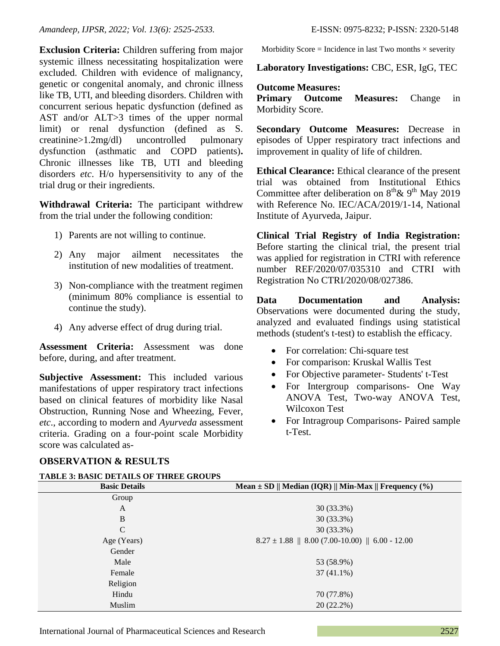**Exclusion Criteria:** Children suffering from major systemic illness necessitating hospitalization were excluded. Children with evidence of malignancy, genetic or congenital anomaly, and chronic illness like TB, UTI, and bleeding disorders. Children with concurrent serious hepatic dysfunction (defined as AST and/or ALT>3 times of the upper normal limit) or renal dysfunction (defined as S. creatinine>1.2mg/dl) uncontrolled pulmonary dysfunction (asthmatic and COPD patients)**.**  Chronic illnesses like TB, UTI and bleeding disorders *etc*. H/o hypersensitivity to any of the trial drug or their ingredients.

**Withdrawal Criteria:** The participant withdrew from the trial under the following condition:

- 1) Parents are not willing to continue.
- 2) Any major ailment necessitates the institution of new modalities of treatment.
- 3) Non-compliance with the treatment regimen (minimum 80% compliance is essential to continue the study).
- 4) Any adverse effect of drug during trial.

**Assessment Criteria:** Assessment was done before, during, and after treatment.

**Subjective Assessment:** This included various manifestations of upper respiratory tract infections based on clinical features of morbidity like Nasal Obstruction, Running Nose and Wheezing, Fever, *etc*., according to modern and *Ayurveda* assessment criteria. Grading on a four-point scale Morbidity score was calculated asMorbidity Score = Incidence in last Two months  $\times$  severity

**Laboratory Investigations:** CBC, ESR, IgG, TEC

## **Outcome Measures:**

**Primary Outcome Measures:** Change in Morbidity Score.

**Secondary Outcome Measures:** Decrease in episodes of Upper respiratory tract infections and improvement in quality of life of children.

**Ethical Clearance:** Ethical clearance of the present trial was obtained from Institutional Ethics Committee after deliberation on  $8<sup>th</sup> \& 9<sup>th</sup>$  May 2019 with Reference No. IEC/ACA/2019/1-14, National Institute of Ayurveda, Jaipur.

**Clinical Trial Registry of India Registration:**  Before starting the clinical trial, the present trial was applied for registration in CTRI with reference number REF/2020/07/035310 and CTRI with Registration No CTRI/2020/08/027386.

**Data Documentation and Analysis:**  Observations were documented during the study, analyzed and evaluated findings using statistical methods (student's t-test) to establish the efficacy.

- For correlation: Chi-square test
- For comparison: Kruskal Wallis Test
- For Objective parameter- Students' t-Test
- For Intergroup comparisons- One Way ANOVA Test, Two-way ANOVA Test, Wilcoxon Test
- For Intragroup Comparisons- Paired sample t-Test.

# **OBSERVATION & RESULTS**

| <b>TABLE 3: BASIC DETAILS OF THREE GROUPS</b> |                                                           |
|-----------------------------------------------|-----------------------------------------------------------|
| <b>Basic Details</b>                          | Mean $\pm$ SD    Median (IQR)    Min-Max    Frequency (%) |
| Group                                         |                                                           |
| A                                             | 30 (33.3%)                                                |
| B                                             | 30 (33.3%)                                                |
| C                                             | 30 (33.3%)                                                |
| Age (Years)                                   | $8.27 \pm 1.88$    8.00 (7.00-10.00)    6.00 - 12.00      |
| Gender                                        |                                                           |
| Male                                          | 53 (58.9%)                                                |
| Female                                        | $37(41.1\%)$                                              |
| Religion                                      |                                                           |
| Hindu                                         | 70 (77.8%)                                                |
| Muslim                                        | $20(22.2\%)$                                              |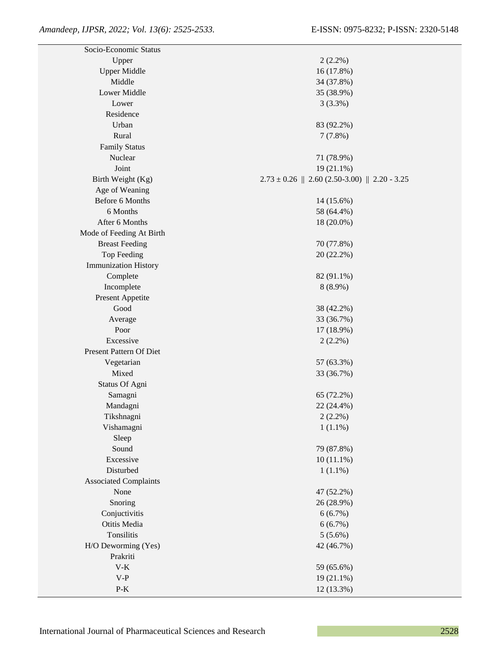| Socio-Economic Status          |                                                    |
|--------------------------------|----------------------------------------------------|
| Upper                          | $2(2.2\%)$                                         |
| <b>Upper Middle</b>            | 16 (17.8%)                                         |
| Middle                         | 34 (37.8%)                                         |
| Lower Middle                   | 35 (38.9%)                                         |
| Lower                          | 3(3.3%)                                            |
| Residence                      |                                                    |
| Urban                          | 83 (92.2%)                                         |
| Rural                          | 7(7.8%)                                            |
| <b>Family Status</b>           |                                                    |
| Nuclear                        | 71 (78.9%)                                         |
| Joint                          | $19(21.1\%)$                                       |
| Birth Weight (Kg)              | $2.73 \pm 0.26$    2.60 (2.50-3.00)    2.20 - 3.25 |
| Age of Weaning                 |                                                    |
| Before 6 Months                | 14 (15.6%)                                         |
| 6 Months                       | 58 (64.4%)                                         |
| After 6 Months                 | 18 (20.0%)                                         |
| Mode of Feeding At Birth       |                                                    |
| <b>Breast Feeding</b>          | 70 (77.8%)                                         |
| Top Feeding                    | 20 (22.2%)                                         |
| <b>Immunization History</b>    |                                                    |
| Complete                       | 82 (91.1%)                                         |
| Incomplete                     | $8(8.9\%)$                                         |
| Present Appetite               |                                                    |
| Good                           | 38 (42.2%)                                         |
| Average                        | 33 (36.7%)                                         |
| Poor                           | 17 (18.9%)                                         |
| Excessive                      | $2(2.2\%)$                                         |
| Present Pattern Of Diet        |                                                    |
| Vegetarian                     | 57 (63.3%)                                         |
| Mixed                          | 33 (36.7%)                                         |
| Status Of Agni                 |                                                    |
| Samagni                        | 65 (72.2%)                                         |
| Mandagni                       | 22 (24.4%)                                         |
| Tikshnagni                     | $2(2.2\%)$                                         |
| Vishamagni                     | $1(1.1\%)$                                         |
| Sleep                          |                                                    |
| Sound                          | 79 (87.8%)                                         |
| Excessive                      | $10(11.1\%)$                                       |
| Disturbed                      | $1(1.1\%)$                                         |
| <b>Associated Complaints</b>   |                                                    |
| None                           | 47 (52.2%)                                         |
| Snoring                        | 26 (28.9%)                                         |
| Conjuctivitis                  | 6(6.7%)                                            |
| Otitis Media                   | 6(6.7%)                                            |
| Tonsilitis                     | $5(5.6\%)$                                         |
| H/O Deworming (Yes)            | 42 (46.7%)                                         |
| Prakriti                       |                                                    |
| $V-K$                          | 59 (65.6%)                                         |
| $V-P$                          | $19(21.1\%)$                                       |
| $\mathbf{P}\text{-}\mathbf{K}$ | 12 (13.3%)                                         |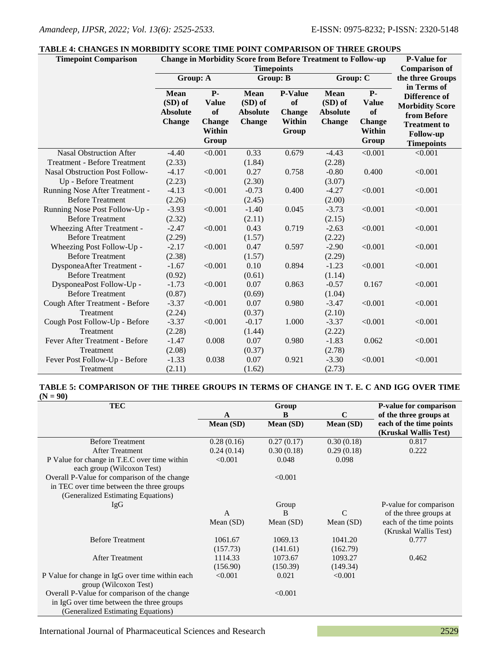#### **TABLE 4: CHANGES IN MORBIDITY SCORE TIME POINT COMPARISON OF THREE GROUPS**

| <b>Timepoint Comparison</b>           | TABLE 4: CHANGES IN MORBIDITY SCORE TIME POINT COMPARISON OF THREE GROUPS<br><b>Change in Morbidity Score from Before Treatment to Follow-up</b><br><b>P-Value for</b> |                                                                |                                                            |                                                          |                                                            |                                                                       |                                                                                                                                              |
|---------------------------------------|------------------------------------------------------------------------------------------------------------------------------------------------------------------------|----------------------------------------------------------------|------------------------------------------------------------|----------------------------------------------------------|------------------------------------------------------------|-----------------------------------------------------------------------|----------------------------------------------------------------------------------------------------------------------------------------------|
|                                       | <b>Timepoints</b>                                                                                                                                                      |                                                                |                                                            |                                                          |                                                            |                                                                       | <b>Comparison of</b>                                                                                                                         |
|                                       | Group: A                                                                                                                                                               |                                                                | <b>Group: B</b>                                            |                                                          | Group: C                                                   |                                                                       | the three Groups                                                                                                                             |
|                                       | <b>Mean</b><br>(SD) of<br><b>Absolute</b><br><b>Change</b>                                                                                                             | $P-$<br><b>Value</b><br>of<br><b>Change</b><br>Within<br>Group | <b>Mean</b><br>(SD) of<br><b>Absolute</b><br><b>Change</b> | <b>P-Value</b><br>of<br><b>Change</b><br>Within<br>Group | <b>Mean</b><br>(SD) of<br><b>Absolute</b><br><b>Change</b> | $P-$<br><b>Value</b><br>of<br><b>Change</b><br>Within<br><b>Group</b> | in Terms of<br><b>Difference of</b><br><b>Morbidity Score</b><br>from Before<br><b>Treatment to</b><br><b>Follow-up</b><br><b>Timepoints</b> |
| <b>Nasal Obstruction After</b>        | $-4.40$                                                                                                                                                                | < 0.001                                                        | 0.33                                                       | 0.679                                                    | $-4.43$                                                    | < 0.001                                                               | < 0.001                                                                                                                                      |
| <b>Treatment - Before Treatment</b>   | (2.33)                                                                                                                                                                 |                                                                | (1.84)                                                     |                                                          | (2.28)                                                     |                                                                       |                                                                                                                                              |
| <b>Nasal Obstruction Post Follow-</b> | $-4.17$                                                                                                                                                                | < 0.001                                                        | 0.27                                                       | 0.758                                                    | $-0.80$                                                    | 0.400                                                                 | < 0.001                                                                                                                                      |
| Up - Before Treatment                 | (2.23)                                                                                                                                                                 |                                                                | (2.30)                                                     |                                                          | (3.07)                                                     |                                                                       |                                                                                                                                              |
| Running Nose After Treatment -        | $-4.13$                                                                                                                                                                | < 0.001                                                        | $-0.73$                                                    | 0.400                                                    | $-4.27$                                                    | < 0.001                                                               | < 0.001                                                                                                                                      |
| <b>Before Treatment</b>               | (2.26)                                                                                                                                                                 |                                                                | (2.45)                                                     |                                                          | (2.00)                                                     |                                                                       |                                                                                                                                              |
| Running Nose Post Follow-Up -         | $-3.93$                                                                                                                                                                | < 0.001                                                        | $-1.40$                                                    | 0.045                                                    | $-3.73$                                                    | < 0.001                                                               | < 0.001                                                                                                                                      |
| <b>Before Treatment</b>               | (2.32)                                                                                                                                                                 |                                                                | (2.11)                                                     |                                                          | (2.15)                                                     |                                                                       |                                                                                                                                              |
| Wheezing After Treatment -            | $-2.47$                                                                                                                                                                | < 0.001                                                        | 0.43                                                       | 0.719                                                    | $-2.63$                                                    | < 0.001                                                               | < 0.001                                                                                                                                      |
| <b>Before Treatment</b>               | (2.29)                                                                                                                                                                 |                                                                | (1.57)                                                     |                                                          | (2.22)                                                     |                                                                       |                                                                                                                                              |
| Wheezing Post Follow-Up -             | $-2.17$                                                                                                                                                                | < 0.001                                                        | 0.47                                                       | 0.597                                                    | $-2.90$                                                    | < 0.001                                                               | < 0.001                                                                                                                                      |
| <b>Before Treatment</b>               | (2.38)                                                                                                                                                                 |                                                                | (1.57)                                                     |                                                          | (2.29)                                                     |                                                                       |                                                                                                                                              |
| DysponeaAfter Treatment -             | $-1.67$                                                                                                                                                                | < 0.001                                                        | 0.10                                                       | 0.894                                                    | $-1.23$                                                    | < 0.001                                                               | < 0.001                                                                                                                                      |
| <b>Before Treatment</b>               | (0.92)                                                                                                                                                                 |                                                                | (0.61)                                                     |                                                          | (1.14)                                                     |                                                                       |                                                                                                                                              |
| DysponeaPost Follow-Up -              | $-1.73$                                                                                                                                                                | < 0.001                                                        | 0.07                                                       | 0.863                                                    | $-0.57$                                                    | 0.167                                                                 | < 0.001                                                                                                                                      |
| <b>Before Treatment</b>               | (0.87)                                                                                                                                                                 |                                                                | (0.69)                                                     |                                                          | (1.04)                                                     |                                                                       |                                                                                                                                              |
| Cough After Treatment - Before        | $-3.37$                                                                                                                                                                | < 0.001                                                        | 0.07                                                       | 0.980                                                    | $-3.47$                                                    | < 0.001                                                               | < 0.001                                                                                                                                      |
| Treatment                             | (2.24)                                                                                                                                                                 |                                                                | (0.37)                                                     |                                                          | (2.10)                                                     |                                                                       |                                                                                                                                              |
| Cough Post Follow-Up - Before         | $-3.37$                                                                                                                                                                | < 0.001                                                        | $-0.17$                                                    | 1.000                                                    | $-3.37$                                                    | < 0.001                                                               | < 0.001                                                                                                                                      |
| Treatment                             | (2.28)                                                                                                                                                                 |                                                                | (1.44)                                                     |                                                          | (2.22)                                                     |                                                                       |                                                                                                                                              |
| Fever After Treatment - Before        | $-1.47$                                                                                                                                                                | 0.008                                                          | 0.07                                                       | 0.980                                                    | $-1.83$                                                    | 0.062                                                                 | < 0.001                                                                                                                                      |
| Treatment                             | (2.08)                                                                                                                                                                 |                                                                | (0.37)                                                     |                                                          | (2.78)                                                     |                                                                       |                                                                                                                                              |
| Fever Post Follow-Up - Before         | $-1.33$                                                                                                                                                                | 0.038                                                          | 0.07                                                       | 0.921                                                    | $-3.30$                                                    | < 0.001                                                               | < 0.001                                                                                                                                      |
| Treatment                             | (2.11)                                                                                                                                                                 |                                                                | (1.62)                                                     |                                                          | (2.73)                                                     |                                                                       |                                                                                                                                              |

#### **TABLE 5: COMPARISON OF THE THREE GROUPS IN TERMS OF CHANGE IN T. E. C AND IGG OVER TIME (N = 90)**

| <b>TEC</b>                                      |            | Group       |                  | P-value for comparison  |
|-------------------------------------------------|------------|-------------|------------------|-------------------------|
|                                                 | A          | B           | $\mathbf C$      | of the three groups at  |
|                                                 | Mean (SD)  | Mean (SD)   | <b>Mean</b> (SD) | each of the time points |
|                                                 |            |             |                  | (Kruskal Wallis Test)   |
| <b>Before Treatment</b>                         | 0.28(0.16) | 0.27(0.17)  | 0.30(0.18)       | 0.817                   |
| <b>After Treatment</b>                          | 0.24(0.14) | 0.30(0.18)  | 0.29(0.18)       | 0.222                   |
| P Value for change in T.E.C over time within    | < 0.001    | 0.048       | 0.098            |                         |
| each group (Wilcoxon Test)                      |            |             |                  |                         |
| Overall P-Value for comparison of the change    |            | < 0.001     |                  |                         |
| in TEC over time between the three groups       |            |             |                  |                         |
| (Generalized Estimating Equations)              |            |             |                  |                         |
| IgG                                             |            | Group       |                  | P-value for comparison  |
|                                                 | A          | B           | $\mathcal{C}$    | of the three groups at  |
|                                                 | Mean (SD)  | Mean $(SD)$ | Mean $(SD)$      | each of the time points |
|                                                 |            |             |                  | (Kruskal Wallis Test)   |
| <b>Before Treatment</b>                         | 1061.67    | 1069.13     | 1041.20          | 0.777                   |
|                                                 | (157.73)   | (141.61)    | (162.79)         |                         |
| <b>After Treatment</b>                          | 1114.33    | 1073.67     | 1093.27          | 0.462                   |
|                                                 | (156.90)   | (150.39)    | (149.34)         |                         |
| P Value for change in IgG over time within each | < 0.001    | 0.021       | < 0.001          |                         |
| group (Wilcoxon Test)                           |            |             |                  |                         |
| Overall P-Value for comparison of the change    |            | < 0.001     |                  |                         |
| in IgG over time between the three groups       |            |             |                  |                         |
| (Generalized Estimating Equations)              |            |             |                  |                         |

International Journal of Pharmaceutical Sciences and Research 2529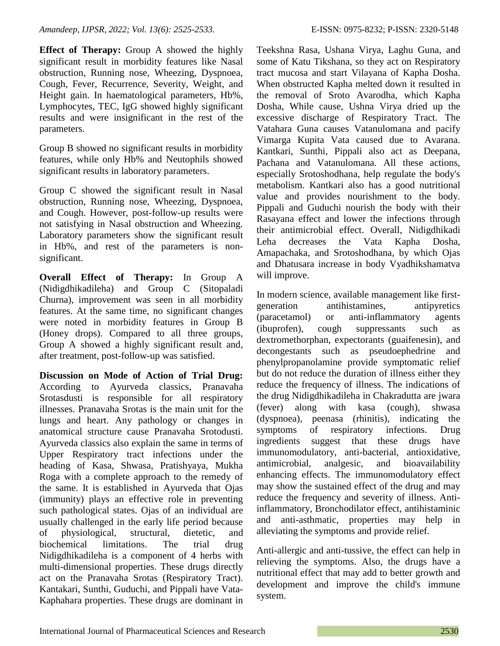**Effect of Therapy:** Group A showed the highly significant result in morbidity features like Nasal obstruction, Running nose, Wheezing, Dyspnoea, Cough, Fever, Recurrence, Severity, Weight, and Height gain. In haematological parameters, Hb%, Lymphocytes, TEC, IgG showed highly significant results and were insignificant in the rest of the parameters.

Group B showed no significant results in morbidity features, while only Hb% and Neutophils showed significant results in laboratory parameters.

Group C showed the significant result in Nasal obstruction, Running nose, Wheezing, Dyspnoea, and Cough. However, post-follow-up results were not satisfying in Nasal obstruction and Wheezing. Laboratory parameters show the significant result in Hb%, and rest of the parameters is nonsignificant.

**Overall Effect of Therapy:** In Group A (Nidigdhikadileha) and Group C (Sitopaladi Churna), improvement was seen in all morbidity features. At the same time, no significant changes were noted in morbidity features in Group B (Honey drops). Compared to all three groups, Group A showed a highly significant result and, after treatment, post-follow-up was satisfied.

**Discussion on Mode of Action of Trial Drug:** According to Ayurveda classics, Pranavaha Srotasdusti is responsible for all respiratory illnesses. Pranavaha Srotas is the main unit for the lungs and heart. Any pathology or changes in anatomical structure cause Pranavaha Srotodusti. Ayurveda classics also explain the same in terms of Upper Respiratory tract infections under the heading of Kasa, Shwasa, Pratishyaya, Mukha Roga with a complete approach to the remedy of the same. It is established in Ayurveda that Ojas (immunity) plays an effective role in preventing such pathological states. Ojas of an individual are usually challenged in the early life period because of physiological, structural, dietetic, and biochemical limitations. The trial drug Nidigdhikadileha is a component of 4 herbs with multi-dimensional properties. These drugs directly act on the Pranavaha Srotas (Respiratory Tract). Kantakari, Sunthi, Guduchi, and Pippali have Vata-Kaphahara properties. These drugs are dominant in

Teekshna Rasa, Ushana Virya, Laghu Guna, and some of Katu Tikshana, so they act on Respiratory tract mucosa and start Vilayana of Kapha Dosha. When obstructed Kapha melted down it resulted in the removal of Sroto Avarodha, which Kapha Dosha, While cause, Ushna Virya dried up the excessive discharge of Respiratory Tract. The Vatahara Guna causes Vatanulomana and pacify Vimarga Kupita Vata caused due to Avarana. Kantkari, Sunthi, Pippali also act as Deepana, Pachana and Vatanulomana. All these actions, especially Srotoshodhana, help regulate the body's metabolism. Kantkari also has a good nutritional value and provides nourishment to the body. Pippali and Guduchi nourish the body with their Rasayana effect and lower the infections through their antimicrobial effect. Overall, Nidigdhikadi Leha decreases the Vata Kapha Dosha, Amapachaka, and Srotoshodhana, by which Ojas and Dhatusara increase in body Vyadhikshamatva will improve.

In modern science, available management like firstgeneration antihistamines, antipyretics (paracetamol) or anti-inflammatory agents (ibuprofen), cough suppressants such as dextromethorphan, expectorants (guaifenesin), and decongestants such as pseudoephedrine and phenylpropanolamine provide symptomatic relief but do not reduce the duration of illness either they reduce the frequency of illness. The indications of the drug Nidigdhikadileha in Chakradutta are jwara (fever) along with kasa (cough), shwasa (dyspnoea), peenasa (rhinitis), indicating the symptoms of respiratory infections. Drug ingredients suggest that these drugs have immunomodulatory, anti-bacterial, antioxidative, antimicrobial, analgesic, and bioavailability enhancing effects. The immunomodulatory effect may show the sustained effect of the drug and may reduce the frequency and severity of illness. Antiinflammatory, Bronchodilator effect, antihistaminic and anti-asthmatic, properties may help in alleviating the symptoms and provide relief.

Anti-allergic and anti-tussive, the effect can help in relieving the symptoms. Also, the drugs have a nutritional effect that may add to better growth and development and improve the child's immune system.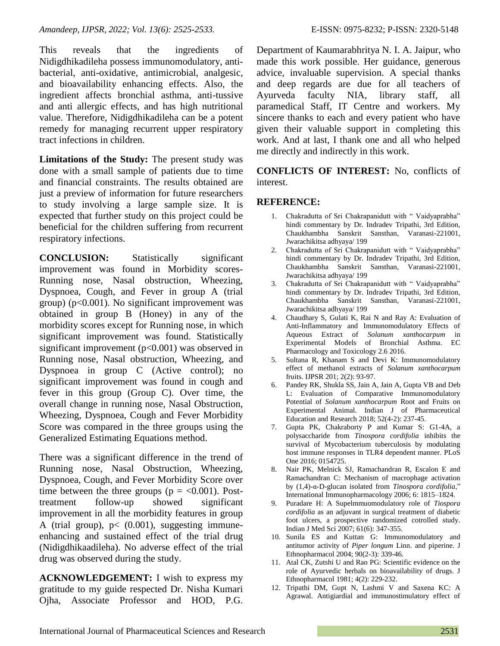This reveals that the ingredients of Nidigdhikadileha possess immunomodulatory, antibacterial, anti-oxidative, antimicrobial, analgesic, and bioavailability enhancing effects. Also, the ingredient affects bronchial asthma, anti-tussive and anti allergic effects, and has high nutritional value. Therefore, Nidigdhikadileha can be a potent remedy for managing recurrent upper respiratory tract infections in children.

**Limitations of the Study:** The present study was done with a small sample of patients due to time and financial constraints. The results obtained are just a preview of information for future researchers to study involving a large sample size. It is expected that further study on this project could be beneficial for the children suffering from recurrent respiratory infections.

**CONCLUSION:** Statistically significant improvement was found in Morbidity scores-Running nose, Nasal obstruction, Wheezing, Dyspnoea, Cough, and Fever in group A (trial group) ( $p<0.001$ ). No significant improvement was obtained in group B (Honey) in any of the morbidity scores except for Running nose, in which significant improvement was found. Statistically significant improvement  $(p<0.001)$  was observed in Running nose, Nasal obstruction, Wheezing, and Dyspnoea in group C (Active control); no significant improvement was found in cough and fever in this group (Group C). Over time, the overall change in running nose, Nasal Obstruction, Wheezing, Dyspnoea, Cough and Fever Morbidity Score was compared in the three groups using the Generalized Estimating Equations method.

There was a significant difference in the trend of Running nose, Nasal Obstruction, Wheezing, Dyspnoea, Cough, and Fever Morbidity Score over time between the three groups ( $p = < 0.001$ ). Posttreatment follow-up showed significant improvement in all the morbidity features in group A (trial group),  $p < (0.001)$ , suggesting immuneenhancing and sustained effect of the trial drug (Nidigdhikaadileha). No adverse effect of the trial drug was observed during the study.

**ACKNOWLEDGEMENT:** I wish to express my gratitude to my guide respected Dr. Nisha Kumari Ojha, Associate Professor and HOD, P.G. Department of Kaumarabhritya N. I. A. Jaipur, who made this work possible. Her guidance, generous advice, invaluable supervision. A special thanks and deep regards are due for all teachers of Ayurveda faculty NIA, library staff, all paramedical Staff, IT Centre and workers. My sincere thanks to each and every patient who have given their valuable support in completing this work. And at last, I thank one and all who helped me directly and indirectly in this work.

**CONFLICTS OF INTEREST:** No, conflicts of interest.

# **REFERENCE:**

- 1. Chakradutta of Sri Chakrapanidutt with " Vaidyaprabha" hindi commentary by Dr. Indradev Tripathi, 3rd Edition, Chaukhambha Sanskrit Sansthan, Varanasi-221001, Jwarachikitsa adhyaya/ 199
- 2. Chakradutta of Sri Chakrapanidutt with " Vaidyaprabha" hindi commentary by Dr. Indradev Tripathi, 3rd Edition, Chaukhambha Sanskrit Sansthan, Varanasi-221001, Jwarachikitsa adhyaya/ 199
- 3. Chakradutta of Sri Chakrapanidutt with " Vaidyaprabha" hindi commentary by Dr. Indradev Tripathi, 3rd Edition, Chaukhambha Sanskrit Sansthan, Varanasi-221001, Jwarachikitsa adhyaya/ 199
- 4. Chaudhary S, Gulati K, Rai N and Ray A: Evaluation of Anti-Inflammatory and Immunomodulatory Effects of Aqueous Extract of *Solanum xanthocarpum* in Experimental Models of Bronchial Asthma. EC Pharmacology and Toxicology 2.6 2016.
- 5. Sultana R, Khanam S and Devi K: Immunomodulatory effect of methanol extracts of *Solanum xanthocarpum* fruits. IJPSR 201; 2(2): 93-97.
- 6. Pandey RK, Shukla SS, Jain A, Jain A, Gupta VB and Deb L: Evaluation of Comparative Immunomodulatory Potential of *Solanum xanthocarpum* Root and Fruits on Experimental Animal. Indian J of Pharmaceutical Education and Research 2018; 52(4-2): 237-45.
- 7. Gupta PK, Chakraborty P and Kumar S: G1-4A, a polysaccharide from *Tinospora cordifolia* inhibits the survival of Mycobacterium tuberculosis by modulating host immune responses in TLR4 dependent manner. PLoS One 2016; 0154725.
- 8. Nair PK, Melnick SJ, Ramachandran R, Escalon E and Ramachandran C: Mechanism of macrophage activation by (1,4)-α-D-glucan isolated from *Tinospora cordifolia*," International Immunopharmacology 2006; 6: 1815–1824.
- 9. Puradare H: A Supelmmuomodulatory role of *Tiospora cordifolia* as an adjuvant in surgical treatment of diabetic foot ulcers, a prospective randomized cotrolled study. Indian J Med Sci 2007; 61(6): 347-355.
- 10. Sunila ES and Kuttan G: Immunomodulatory and antitumor activity of *Piper longum* Linn. and piperine. J Ethnopharmacol 2004; 90(2-3): 339-46.
- 11. Atal CK, Zutshi U and Rao PG: Scientific evidence on the role of Ayurvedic herbals on bioavailability of drugs. J Ethnopharmacol 1981; 4(2): 229-232.
- 12. Tripathi DM, Gupt N, Lashmi V and Saxena KC: A Agrawal. Antigiardial and immunostimulatory effect of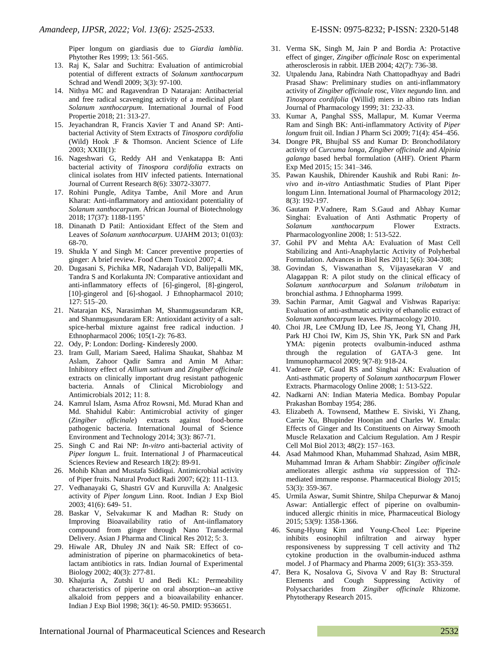Piper longum on giardiasis due to *Giardia lamblia*. Phytother Res 1999; 13: 561-565.

- 13. Raj K, Salar and Suchitra: Evaluation of antimicrobial potential of different extracts of *Solanum xanthocarpum* Schrad and Wendl 2009; 3(3): 97-100.
- 14. Nithya MC and Ragavendran D Natarajan: Antibacterial and free radical scavenging activity of a medicinal plant *Solanum xanthocarpum*. International Journal of Food Propertie 2018; 21: 313-27.
- 15. Jeyachandran R, Francis Xavier T and Anand SP: Antibacterial Activity of Stem Extracts of *Tinospora cordifolia* (Wild) Hook .F & Thomson. Ancient Science of Life 2003; XXIII(1):
- 16. Nageshwari G, Reddy AH and Venkatappa B: Anti bacterial activity of *Tinospora cordifolia* extracts on clinical isolates from HIV infected patients. International Journal of Current Research 8(6): 33072-33077.
- 17. Rohini Pungle, Aditya Tambe, Anil More and Arun Kharat: Anti-inflammatory and antioxidant potentiality of *Solanum xanthocarpum*. African Journal of Biotechnology 2018; 17(37): 1188-1195'
- 18. Dinanath D Patil: Antioxidant Effect of the Stem and Leaves of *Solanum xanthocarpum*. UJAHM 2013; 01(03): 68-70.
- 19. Shukla Y and Singh M: Cancer preventive properties of ginger: A brief review. Food Chem Toxicol 2007; 4.
- 20. Dugasani S, Pichika MR, Nadarajah VD, Balijepalli MK, Tandra S and Korlakunta JN: Comparative antioxidant and anti-inflammatory effects of [6]-gingerol, [8]-gingerol, [10]-gingerol and [6]-shogaol. J Ethnopharmacol 2010; 127: 515–20.
- 21. Natarajan KS, Narasimhan M, Shanmugasundaram KR, and Shanmugasundaram ER: Antioxidant activity of a saltspice-herbal mixture against free radical induction. J Ethnopharmacol 2006; 105(1-2): 76-83.
- 22. Ody, P: London: Dorling- Kinderesly 2000.
- 23. Iram Gull, Mariam Saeed, Halima Shaukat, Shahbaz M Aslam, Zahoor Qadir Samra and Amin M Athar: Inhibitory effect of *Allium sativum* and *Zingiber officinale* extracts on clinically important drug resistant pathogenic bacteria. Annals of Clinical Microbiology and Antimicrobials 2012; 11: 8.
- 24. Kamrul Islam, Asma Afroz Rowsni, Md. Murad Khan and Md. Shahidul Kabir: Antimicrobial activity of ginger (*Zingiber officinale*) extracts against food-borne pathogenic bacteria. International Journal of Science Environment and Technology 2014; 3(3): 867-71.
- 25. Singh C and Rai NP: *In-vitro* anti-bacterial activity of *Piper longum* L. fruit. International J of Pharmaceutical Sciences Review and Research 18(2): 89-91.
- 26. Mohib Khan and Mustafa Siddiqui. Antimicrobial activity of Piper fruits. Natural Product Radi 2007; 6(2): 111-113.
- 27. Vedhanayaki G, Shastri GV and Kuruvilla A: Analgesic activity of *Piper longum* Linn. Root. Indian J Exp Biol 2003; 41(6): 649- 51.
- 28. Baskar V, Selvakumar K and Madhan R: Study on Improving Bioavailability ratio of Ant-iinflamatory compound from ginger through Nano Transdermal Delivery. Asian J Pharma and Clinical Res 2012; 5: 3.
- 29. Hiwale AR, Dhuley JN and Naik SR: Effect of coadministration of piperine on pharmacokinetics of betalactam antibiotics in rats. Indian Journal of Experimental Biology 2002; 40(3): 277-81.
- 30. Khajuria A, Zutshi U and Bedi KL: Permeability characteristics of piperine on oral absorption--an active alkaloid from peppers and a bioavailability enhancer. Indian J Exp Biol 1998; 36(1): 46-50. PMID: 9536651.
- 31. Verma SK, Singh M, Jain P and Bordia A: Protactive effect of ginger, *Zingiber officinale* Rosc on experimental atherosclerosis in rabbit. IJEB 2004; 42(7): 736-38.
- 32. Utpalendu Jana, Rabindra Nath Chattopadhyay and Badri Prasad Shaw: Preliminary studies on anti-inflammatory activity of *Zingiber officinale* rosc, *Vitex negundo* linn. and *Tinospora cordifolia* (Willid) miers in albino rats Indian Journal of Pharmacology 1999; 31: 232-33.
- 33. Kumar A, Panghal SSS, Mallapur, M. Kumar Veerma Ram and Singh BK: Anti-inflammatory Activity of *Piper longum* fruit oil. Indian J Pharm Sci 2009; 71(4): 454–456.
- 34. Dongre PR, Bhujbal SS and Kumar D: Bronchodilatory activity of *Curcuma longa*, *Zingiber officinale* and *Alpinia galanga* based herbal formulation (AHF). Orient Pharm Exp Med 2015; 15: 341–346.
- 35. Pawan Kaushik, Dhirender Kaushik and Rubi Rani: *Invivo* and *in-vitro* Antiasthmatic Studies of Plant Piper longum Linn. International Journal of Pharmacology 2012; 8(3): 192-197.
- 36. Gautam P.Vadnere, Ram S.Gaud and Abhay Kumar Singhai: Evaluation of Anti Asthmatic Property of *Solanum xanthocarpum* Flower Extracts. Pharmacologyonline 2008; 1: 513-522.
- 37. Gohil PV and Mehta AA: Evaluation of Mast Cell Stabilizing and Anti-Anaphylactic Activity of Polyherbal Formulation. Advances in Biol Res 2011; 5(6): 304-308;
- 38. Govindan S, Viswanathan S, Vijayasekaran V and Alagappan R: A pilot study on the clinical efficacy of *Solanum xanthocarpum* and *Solanum trilobatum* in bronchial asthma. J Ethnopharma 1999.
- 39. Sachin Parmar, Amit Gagwal and Vishwas Rapariya: Evaluation of anti-asthmatic activity of ethanolic extract of *Solanum xanthocarpum* leaves. Pharmacology 2010.
- 40. Choi JR, Lee CMJung ID, Lee JS, Jeong YI, Chang JH, Park HJ Choi IW, Kim JS, Shin YK, Park SN and Park YMA: pigenin protects ovalbumin-induced asthma through the regulation of GATA-3 gene. Int Immunopharmacol 2009; 9(7-8): 918-24.
- 41. Vadnere GP, Gaud RS and Singhai AK: Evaluation of Anti-asthmatic property of *Solanum xanthocarpum* Flower Extracts. Pharmacology Online 2008; 1: 513-522.
- 42. Nadkarni AN: Indian Materia Medica. Bombay Popular Prakashan Bombay 1954; 286.
- 43. Elizabeth A. Townsend, Matthew E. Siviski, Yi Zhang, Carrie Xu, Bhupinder Hoonjan and Charles W. Emala: Effects of Ginger and Its Constituents on Airway Smooth Muscle Relaxation and Calcium Regulation. Am J Respir Cell Mol Biol 2013; 48(2): 157–163.
- 44. Asad Mahmood Khan, Muhammad Shahzad, Asim MBR, Muhammad Imran & Arham Shabbir: *Zingiber officinale* ameliorates allergic asthma *via* suppression of Th2 mediated immune response. Pharmaceutical Biology 2015; 53(3): 359-367.
- 45. Urmila Aswar, Sumit Shintre, Shilpa Chepurwar & Manoj Aswar: Antiallergic effect of piperine on ovalbumininduced allergic rhinitis in mice, Pharmaceutical Biology 2015; 53(9): 1358-1366.
- 46. Seung‐Hyung Kim and Young‐Cheol Lee: Piperine inhibits eosinophil infiltration and airway hyper responsiveness by suppressing T cell activity and Th2 cytokine production in the ovalbumin‐induced asthma model. J of Pharmacy and Pharma 2009; 61(3): 353-359.
- 47. Bera K, Nosalova G, Sivova V and Ray B: Structural Elements and Cough Suppressing Activity of Polysaccharides from *Zingiber officinale* Rhizome. Phytotherapy Research 2015.